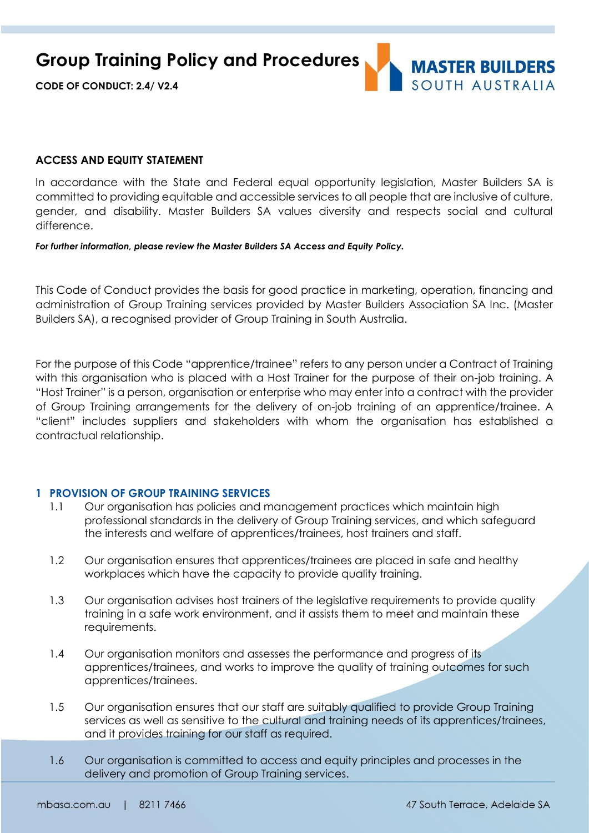**CODE OF CONDUCT: 2.4/ V2.4**



# **ACCESS AND EQUITY STATEMENT**

In accordance with the State and Federal equal opportunity legislation, Master Builders SA is committed to providing equitable and accessible services to all people that are inclusive of culture, gender, and disability. Master Builders SA values diversity and respects social and cultural difference.

#### *For further information, please review the Master Builders SA Access and Equity Policy.*

This Code of Conduct provides the basis for good practice in marketing, operation, financing and administration of Group Training services provided by Master Builders Association SA Inc. (Master Builders SA), a recognised provider of Group Training in South Australia.

For the purpose of this Code "apprentice/trainee" refers to any person under a Contract of Training with this organisation who is placed with a Host Trainer for the purpose of their on-job training. A "Host Trainer" is a person, organisation or enterprise who may enter into a contract with the provider of Group Training arrangements for the delivery of on-job training of an apprentice/trainee. A "client" includes suppliers and stakeholders with whom the organisation has established a contractual relationship.

# **1 PROVISION OF GROUP TRAINING SERVICES**

- 1.1 Our organisation has policies and management practices which maintain high professional standards in the delivery of Group Training services, and which safeguard the interests and welfare of apprentices/trainees, host trainers and staff.
- 1.2 Our organisation ensures that apprentices/trainees are placed in safe and healthy workplaces which have the capacity to provide quality training.
- 1.3 Our organisation advises host trainers of the legislative requirements to provide quality training in a safe work environment, and it assists them to meet and maintain these requirements.
- 1.4 Our organisation monitors and assesses the performance and progress of its apprentices/trainees, and works to improve the quality of training outcomes for such apprentices/trainees.
- 1.5 Our organisation ensures that our staff are suitably qualified to provide Group Training services as well as sensitive to the cultural and training needs of its apprentices/trainees, and it provides training for our staff as required.
- 1.6 Our organisation is committed to access and equity principles and processes in the delivery and promotion of Group Training services.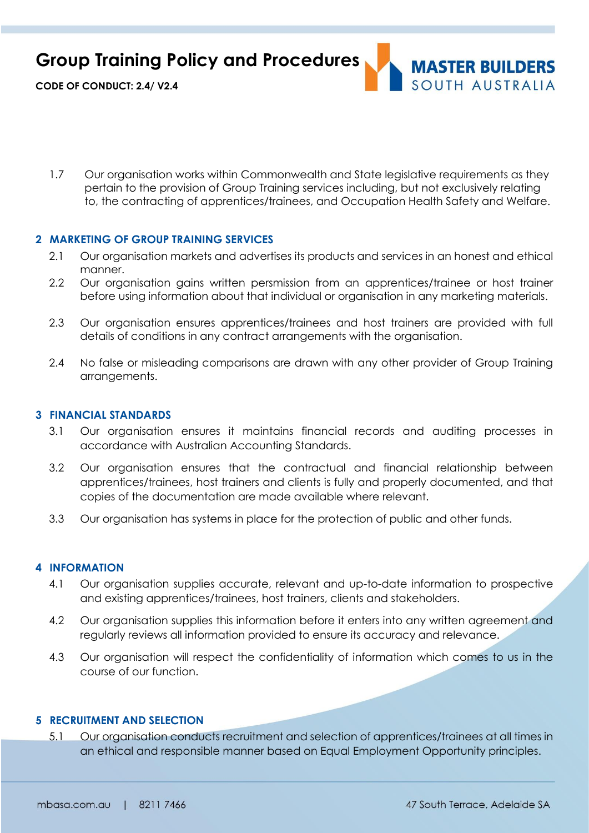

**CODE OF CONDUCT: 2.4/ V2.4**

1.7 Our organisation works within Commonwealth and State legislative requirements as they pertain to the provision of Group Training services including, but not exclusively relating to, the contracting of apprentices/trainees, and Occupation Health Safety and Welfare.

# **2 MARKETING OF GROUP TRAINING SERVICES**

- 2.1 Our organisation markets and advertises its products and services in an honest and ethical manner.
- 2.2 Our organisation gains written persmission from an apprentices/trainee or host trainer before using information about that individual or organisation in any marketing materials.
- 2.3 Our organisation ensures apprentices/trainees and host trainers are provided with full details of conditions in any contract arrangements with the organisation.
- 2.4 No false or misleading comparisons are drawn with any other provider of Group Training arrangements.

## **3 FINANCIAL STANDARDS**

- 3.1 Our organisation ensures it maintains financial records and auditing processes in accordance with Australian Accounting Standards.
- 3.2 Our organisation ensures that the contractual and financial relationship between apprentices/trainees, host trainers and clients is fully and properly documented, and that copies of the documentation are made available where relevant.
- 3.3 Our organisation has systems in place for the protection of public and other funds.

### **4 INFORMATION**

- 4.1 Our organisation supplies accurate, relevant and up-to-date information to prospective and existing apprentices/trainees, host trainers, clients and stakeholders.
- 4.2 Our organisation supplies this information before it enters into any written agreement and regularly reviews all information provided to ensure its accuracy and relevance.
- 4.3 Our organisation will respect the confidentiality of information which comes to us in the course of our function.

# **5 RECRUITMENT AND SELECTION**

5.1 Our organisation conducts recruitment and selection of apprentices/trainees at all times in an ethical and responsible manner based on Equal Employment Opportunity principles.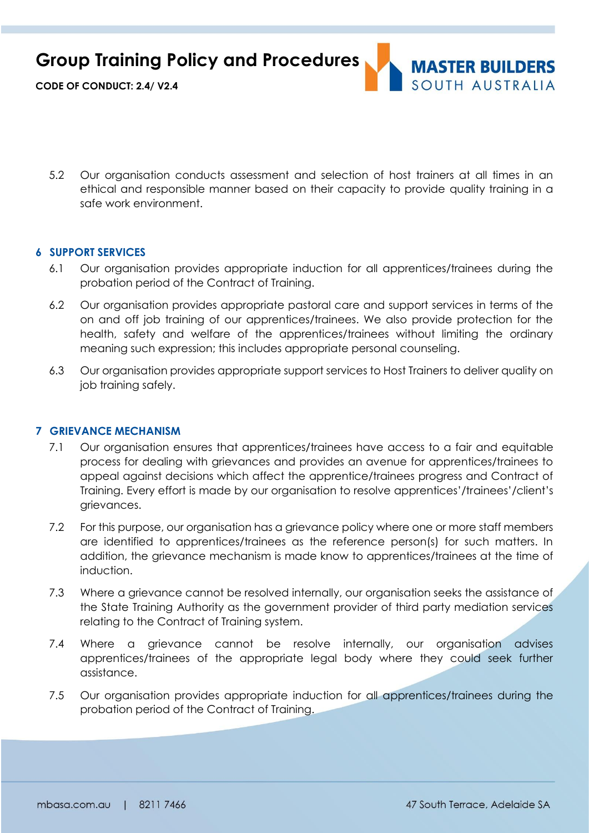

**CODE OF CONDUCT: 2.4/ V2.4**

5.2 Our organisation conducts assessment and selection of host trainers at all times in an ethical and responsible manner based on their capacity to provide quality training in a safe work environment.

# **6 SUPPORT SERVICES**

- 6.1 Our organisation provides appropriate induction for all apprentices/trainees during the probation period of the Contract of Training.
- 6.2 Our organisation provides appropriate pastoral care and support services in terms of the on and off job training of our apprentices/trainees. We also provide protection for the health, safety and welfare of the apprentices/trainees without limiting the ordinary meaning such expression; this includes appropriate personal counseling.
- 6.3 Our organisation provides appropriate support services to Host Trainers to deliver quality on job training safely.

# **7 GRIEVANCE MECHANISM**

- 7.1 Our organisation ensures that apprentices/trainees have access to a fair and equitable process for dealing with grievances and provides an avenue for apprentices/trainees to appeal against decisions which affect the apprentice/trainees progress and Contract of Training. Every effort is made by our organisation to resolve apprentices'/trainees'/client's grievances.
- 7.2 For this purpose, our organisation has a grievance policy where one or more staff members are identified to apprentices/trainees as the reference person(s) for such matters. In addition, the grievance mechanism is made know to apprentices/trainees at the time of induction.
- 7.3 Where a grievance cannot be resolved internally, our organisation seeks the assistance of the State Training Authority as the government provider of third party mediation services relating to the Contract of Training system.
- 7.4 Where a grievance cannot be resolve internally, our organisation advises apprentices/trainees of the appropriate legal body where they could seek further assistance.
- 7.5 Our organisation provides appropriate induction for all apprentices/trainees during the probation period of the Contract of Training.